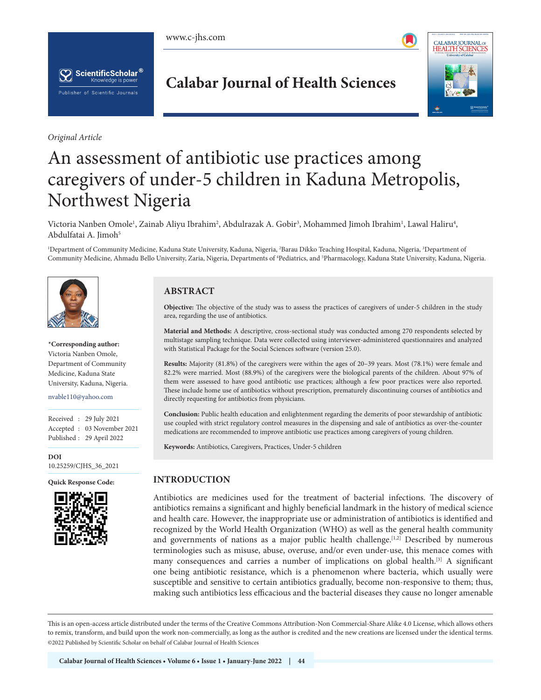





*Original Article*

## **Calabar Journal of Health Sciences**



# An assessment of antibiotic use practices among caregivers of under-5 children in Kaduna Metropolis, Northwest Nigeria

Victoria Nanben Omole<sup>1</sup>, Zainab Aliyu Ibrahim<sup>2</sup>, Abdulrazak A. Gobir<sup>3</sup>, Mohammed Jimoh Ibrahim<sup>1</sup>, Lawal Haliru<sup>4</sup>, Abdulfatai A. Jimoh<sup>5</sup>

<sup>1</sup>Department of Community Medicine, Kaduna State University, Kaduna, Nigeria, <sup>2</sup>Barau Dikko Teaching Hospital, Kaduna, Nigeria, <sup>3</sup>Department of Community Medicine, Ahmadu Bello University, Zaria, Nigeria, Departments of <sup>4</sup>Pediatrics, and <sup>5</sup>Pharmacology, Kaduna State University, Kaduna, Nigeria.



**\*Corresponding author:** Victoria Nanben Omole, Department of Community Medicine, Kaduna State University, Kaduna, Nigeria.

nvable110@yahoo.com

Received : 29 July 2021 Accepted : 03 November 2021 Published : 29 April 2022

**DOI** [10.25259/CJHS\\_36\\_2021](https://dx.doi.org/10.25259/CJHS_36_2021)



### **ABSTRACT**

**Objective:** The objective of the study was to assess the practices of caregivers of under-5 children in the study area, regarding the use of antibiotics.

**Material and Methods:** A descriptive, cross-sectional study was conducted among 270 respondents selected by multistage sampling technique. Data were collected using interviewer-administered questionnaires and analyzed with Statistical Package for the Social Sciences software (version 25.0).

**Results:** Majority (81.8%) of the caregivers were within the ages of 20–39 years. Most (78.1%) were female and 82.2% were married. Most (88.9%) of the caregivers were the biological parents of the children. About 97% of them were assessed to have good antibiotic use practices; although a few poor practices were also reported. These include home use of antibiotics without prescription, prematurely discontinuing courses of antibiotics and directly requesting for antibiotics from physicians.

**Conclusion:** Public health education and enlightenment regarding the demerits of poor stewardship of antibiotic use coupled with strict regulatory control measures in the dispensing and sale of antibiotics as over-the-counter medications are recommended to improve antibiotic use practices among caregivers of young children.

**Keywords:** Antibiotics, Caregivers, Practices, Under-5 children

## **Quick Response Code: INTRODUCTION**

Antibiotics are medicines used for the treatment of bacterial infections. The discovery of antibiotics remains a significant and highly beneficial landmark in the history of medical science and health care. However, the inappropriate use or administration of antibiotics is identified and recognized by the World Health Organization (WHO) as well as the general health community and governments of nations as a major public health challenge.<sup>[1,2]</sup> Described by numerous terminologies such as misuse, abuse, overuse, and/or even under-use, this menace comes with many consequences and carries a number of implications on global health.<sup>[3]</sup> A significant one being antibiotic resistance, which is a phenomenon where bacteria, which usually were susceptible and sensitive to certain antibiotics gradually, become non-responsive to them; thus, making such antibiotics less efficacious and the bacterial diseases they cause no longer amenable

is is an open-access article distributed under the terms of the Creative Commons Attribution-Non Commercial-Share Alike 4.0 License, which allows others to remix, transform, and build upon the work non-commercially, as long as the author is credited and the new creations are licensed under the identical terms. ©2022 Published by Scientific Scholar on behalf of Calabar Journal of Health Sciences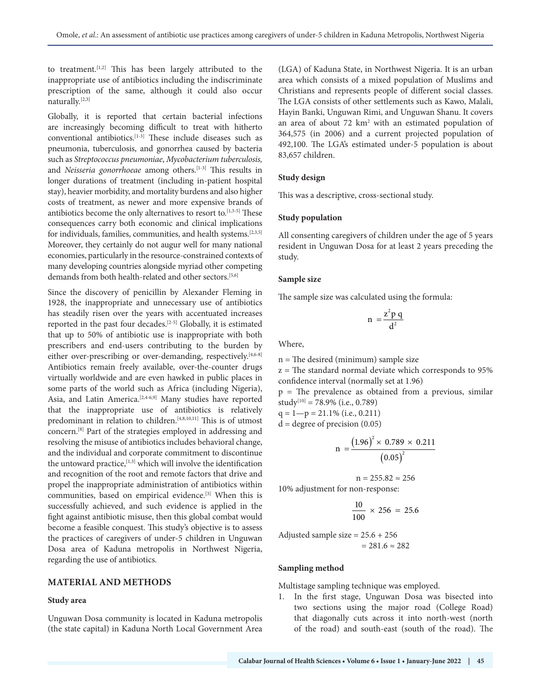to treatment.[1,2] This has been largely attributed to the inappropriate use of antibiotics including the indiscriminate prescription of the same, although it could also occur naturally.[2,3]

Globally, it is reported that certain bacterial infections are increasingly becoming difficult to treat with hitherto conventional antibiotics.[1-3] These include diseases such as pneumonia, tuberculosis, and gonorrhea caused by bacteria such as *Streptococcus pneumoniae*, *Mycobacterium tuberculosis,* and *Neisseria gonorrhoeae* among others.<sup>[1-3]</sup> This results in longer durations of treatment (including in-patient hospital stay), heavier morbidity, and mortality burdens and also higher costs of treatment, as newer and more expensive brands of antibiotics become the only alternatives to resort to.<sup>[1,3-5]</sup> These consequences carry both economic and clinical implications for individuals, families, communities, and health systems.[2,3,5] Moreover, they certainly do not augur well for many national economies, particularly in the resource-constrained contexts of many developing countries alongside myriad other competing demands from both health-related and other sectors.<sup>[5,6]</sup>

Since the discovery of penicillin by Alexander Fleming in 1928, the inappropriate and unnecessary use of antibiotics has steadily risen over the years with accentuated increases reported in the past four decades.[2-5] Globally, it is estimated that up to 50% of antibiotic use is inappropriate with both prescribers and end-users contributing to the burden by either over-prescribing or over-demanding, respectively.<sup>[4,6-8]</sup> Antibiotics remain freely available, over-the-counter drugs virtually worldwide and are even hawked in public places in some parts of the world such as Africa (including Nigeria), Asia, and Latin America.<sup>[2,4-6,9]</sup> Many studies have reported that the inappropriate use of antibiotics is relatively predominant in relation to children.<sup>[4,8,10,11]</sup> This is of utmost concern.[8] Part of the strategies employed in addressing and resolving the misuse of antibiotics includes behavioral change, and the individual and corporate commitment to discontinue the untoward practice,<sup>[1,3]</sup> which will involve the identification and recognition of the root and remote factors that drive and propel the inappropriate administration of antibiotics within communities, based on empirical evidence.[3] When this is successfully achieved, and such evidence is applied in the fight against antibiotic misuse, then this global combat would become a feasible conquest. This study's objective is to assess the practices of caregivers of under-5 children in Unguwan Dosa area of Kaduna metropolis in Northwest Nigeria, regarding the use of antibiotics.

#### **MATERIAL AND METHODS**

#### **Study area**

Unguwan Dosa community is located in Kaduna metropolis (the state capital) in Kaduna North Local Government Area

(LGA) of Kaduna State, in Northwest Nigeria. It is an urban area which consists of a mixed population of Muslims and Christians and represents people of different social classes. The LGA consists of other settlements such as Kawo, Malali, Hayin Banki, Unguwan Rimi, and Unguwan Shanu. It covers an area of about 72 km<sup>2</sup> with an estimated population of 364,575 (in 2006) and a current projected population of 492,100. The LGA's estimated under-5 population is about 83,657 children.

#### **Study design**

This was a descriptive, cross-sectional study.

#### **Study population**

All consenting caregivers of children under the age of 5 years resident in Unguwan Dosa for at least 2 years preceding the study.

#### **Sample size**

The sample size was calculated using the formula:

$$
n = \frac{z^2 p q}{d^2}
$$

Where,

n = The desired (minimum) sample size

 $z =$  The standard normal deviate which corresponds to 95% confidence interval (normally set at 1.96)

 $p =$ The prevalence as obtained from a previous, similar study<sup>[10]</sup> = 78.9% (i.e., 0.789)

 $q = 1-p = 21.1\%$  (i.e., 0.211)  $d = degree of precision (0.05)$ 

$$
n = \frac{(1.96)^{2} \times 0.789 \times 0.211}{(0.05)^{2}}
$$

 $n = 255.82 \approx 256$ 

10% adjustment for non-response:

$$
\frac{10}{100} \times 256 = 25.6
$$

Adjusted sample size = 25.6 + 256  $= 281.6 \approx 282$ 

#### **Sampling method**

Multistage sampling technique was employed.

1. In the first stage, Unguwan Dosa was bisected into two sections using the major road (College Road) that diagonally cuts across it into north-west (north of the road) and south-east (south of the road). The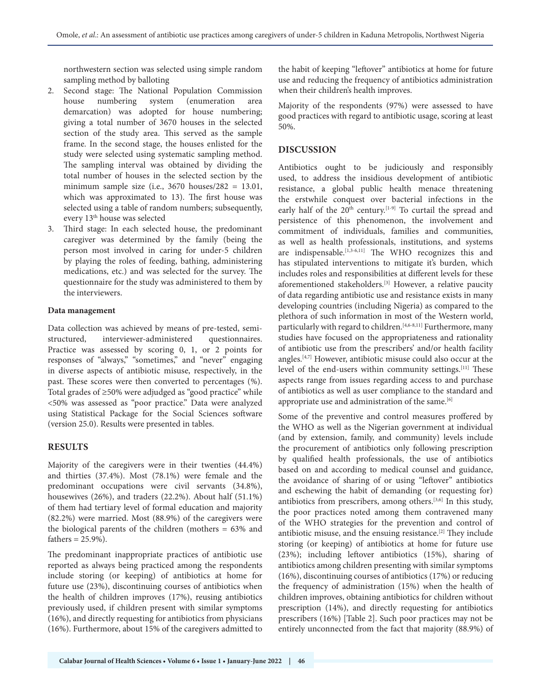northwestern section was selected using simple random sampling method by balloting

- 2. Second stage: The National Population Commission house numbering system (enumeration area demarcation) was adopted for house numbering; giving a total number of 3670 houses in the selected section of the study area. This served as the sample frame. In the second stage, the houses enlisted for the study were selected using systematic sampling method. The sampling interval was obtained by dividing the total number of houses in the selected section by the minimum sample size (i.e.,  $3670$  houses/282 = 13.01, which was approximated to 13). The first house was selected using a table of random numbers; subsequently, every 13th house was selected
- 3. Third stage: In each selected house, the predominant caregiver was determined by the family (being the person most involved in caring for under-5 children by playing the roles of feeding, bathing, administering medications, etc.) and was selected for the survey. The questionnaire for the study was administered to them by the interviewers.

#### **Data management**

Data collection was achieved by means of pre-tested, semistructured, interviewer-administered questionnaires. Practice was assessed by scoring 0, 1, or 2 points for responses of "always," "sometimes," and "never" engaging in diverse aspects of antibiotic misuse, respectively, in the past. These scores were then converted to percentages (%). Total grades of ≥50% were adjudged as "good practice" while <50% was assessed as "poor practice." Data were analyzed using Statistical Package for the Social Sciences software (version 25.0). Results were presented in tables.

#### **RESULTS**

Majority of the caregivers were in their twenties (44.4%) and thirties (37.4%). Most (78.1%) were female and the predominant occupations were civil servants (34.8%), housewives (26%), and traders (22.2%). About half (51.1%) of them had tertiary level of formal education and majority (82.2%) were married. Most (88.9%) of the caregivers were the biological parents of the children (mothers = 63% and fathers  $= 25.9\%$ ).

The predominant inappropriate practices of antibiotic use reported as always being practiced among the respondents include storing (or keeping) of antibiotics at home for future use (23%), discontinuing courses of antibiotics when the health of children improves (17%), reusing antibiotics previously used, if children present with similar symptoms (16%), and directly requesting for antibiotics from physicians (16%). Furthermore, about 15% of the caregivers admitted to

the habit of keeping "leftover" antibiotics at home for future use and reducing the frequency of antibiotics administration when their children's health improves.

Majority of the respondents (97%) were assessed to have good practices with regard to antibiotic usage, scoring at least 50%.

#### **DISCUSSION**

Antibiotics ought to be judiciously and responsibly used, to address the insidious development of antibiotic resistance, a global public health menace threatening the erstwhile conquest over bacterial infections in the early half of the 20<sup>th</sup> century.<sup>[1-9]</sup> To curtail the spread and persistence of this phenomenon, the involvement and commitment of individuals, families and communities, as well as health professionals, institutions, and systems are indispensable.[1,3-6,11] The WHO recognizes this and has stipulated interventions to mitigate it's burden, which includes roles and responsibilities at different levels for these aforementioned stakeholders.[3] However, a relative paucity of data regarding antibiotic use and resistance exists in many developing countries (including Nigeria) as compared to the plethora of such information in most of the Western world, particularly with regard to children.<sup>[4,6-8,11]</sup> Furthermore, many studies have focused on the appropriateness and rationality of antibiotic use from the prescribers' and/or health facility angles.[4,7] However, antibiotic misuse could also occur at the level of the end-users within community settings.[11] These aspects range from issues regarding access to and purchase of antibiotics as well as user compliance to the standard and appropriate use and administration of the same.<sup>[6]</sup>

Some of the preventive and control measures proffered by the WHO as well as the Nigerian government at individual (and by extension, family, and community) levels include the procurement of antibiotics only following prescription by qualified health professionals, the use of antibiotics based on and according to medical counsel and guidance, the avoidance of sharing of or using "leftover" antibiotics and eschewing the habit of demanding (or requesting for) antibiotics from prescribers, among others.[3,6] In this study, the poor practices noted among them contravened many of the WHO strategies for the prevention and control of antibiotic misuse, and the ensuing resistance.[2] They include storing (or keeping) of antibiotics at home for future use (23%); including leftover antibiotics (15%), sharing of antibiotics among children presenting with similar symptoms (16%), discontinuing courses of antibiotics (17%) or reducing the frequency of administration (15%) when the health of children improves, obtaining antibiotics for children without prescription (14%), and directly requesting for antibiotics prescribers (16%) [Table 2]. Such poor practices may not be entirely unconnected from the fact that majority (88.9%) of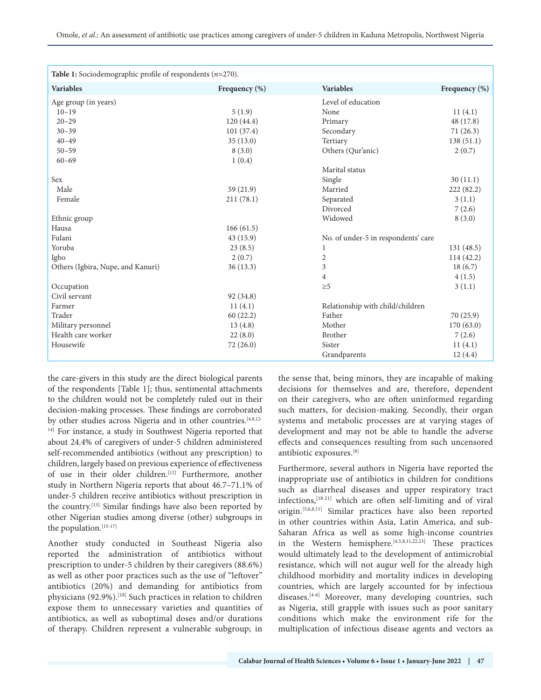| <b>Table 1:</b> Sociodemographic profile of respondents $(n=270)$ . |               |                                     |               |  |
|---------------------------------------------------------------------|---------------|-------------------------------------|---------------|--|
| <b>Variables</b>                                                    | Frequency (%) | <b>Variables</b>                    | Frequency (%) |  |
| Age group (in years)                                                |               | Level of education                  |               |  |
| $10 - 19$                                                           | 5(1.9)        | None                                | 11(4.1)       |  |
| $20 - 29$                                                           | 120(44.4)     | Primary                             | 48 (17.8)     |  |
| $30 - 39$                                                           | 101(37.4)     | Secondary                           | 71(26.3)      |  |
| $40 - 49$                                                           | 35(13.0)      | Tertiary                            | 138(51.1)     |  |
| $50 - 59$                                                           | 8(3.0)        | Others (Qur'anic)                   | 2(0.7)        |  |
| $60 - 69$                                                           | 1(0.4)        |                                     |               |  |
|                                                                     |               | Marital status                      |               |  |
| Sex                                                                 |               | Single                              | 30(11.1)      |  |
| Male                                                                | 59 (21.9)     | Married                             | 222 (82.2)    |  |
| Female                                                              | 211(78.1)     | Separated                           | 3(1.1)        |  |
|                                                                     |               | Divorced                            | 7(2.6)        |  |
| Ethnic group                                                        |               | Widowed                             | 8(3.0)        |  |
| Hausa                                                               | 166(61.5)     |                                     |               |  |
| Fulani                                                              | 43 (15.9)     | No. of under-5 in respondents' care |               |  |
| Yoruba                                                              | 23(8.5)       | $\mathbf{1}$                        | 131(48.5)     |  |
| Igbo                                                                | 2(0.7)        | 2                                   | 114 (42.2)    |  |
| Others (Igbira, Nupe, and Kanuri)                                   | 36(13.3)      | 3                                   | 18(6.7)       |  |
|                                                                     |               | $\overline{4}$                      | 4(1.5)        |  |
| Occupation                                                          |               | $\geq 5$                            | 3(1.1)        |  |
| Civil servant                                                       | 92 (34.8)     |                                     |               |  |
| Farmer                                                              | 11(4.1)       | Relationship with child/children    |               |  |
| Trader                                                              | 60(22.2)      | Father                              | 70 (25.9)     |  |
| Military personnel                                                  | 13(4.8)       | Mother                              | 170(63.0)     |  |
| Health care worker                                                  | 22(8.0)       | Brother                             | 7(2.6)        |  |
| Housewife                                                           | 72(26.0)      | Sister                              | 11(4.1)       |  |
|                                                                     |               | Grandparents                        | 12(4.4)       |  |

the care-givers in this study are the direct biological parents of the respondents [Table 1]; thus, sentimental attachments to the children would not be completely ruled out in their decision-making processes. These findings are corroborated by other studies across Nigeria and in other countries.[4,8,12- <sup>14]</sup> For instance, a study in Southwest Nigeria reported that about 24.4% of caregivers of under-5 children administered self-recommended antibiotics (without any prescription) to children, largely based on previous experience of effectiveness of use in their older children.<sup>[12]</sup> Furthermore, another study in Northern Nigeria reports that about 46.7–71.1% of under-5 children receive antibiotics without prescription in the country.[13] Similar findings have also been reported by other Nigerian studies among diverse (other) subgroups in the population.<sup>[15-17]</sup>

Another study conducted in Southeast Nigeria also reported the administration of antibiotics without prescription to under-5 children by their caregivers (88.6%) as well as other poor practices such as the use of "leftover" antibiotics (20%) and demanding for antibiotics from physicians (92.9%).<sup>[18]</sup> Such practices in relation to children expose them to unnecessary varieties and quantities of antibiotics, as well as suboptimal doses and/or durations of therapy. Children represent a vulnerable subgroup; in

the sense that, being minors, they are incapable of making decisions for themselves and are, therefore, dependent on their caregivers, who are often uninformed regarding such matters, for decision-making. Secondly, their organ systems and metabolic processes are at varying stages of development and may not be able to handle the adverse effects and consequences resulting from such uncensored antibiotic exposures.[8]

Furthermore, several authors in Nigeria have reported the inappropriate use of antibiotics in children for conditions such as diarrheal diseases and upper respiratory tract infections,<sup>[18-21]</sup> which are often self-limiting and of viral origin.[5,6,8,11] Similar practices have also been reported in other countries within Asia, Latin America, and sub-Saharan Africa as well as some high-income countries in the Western hemisphere.[4,5,8,11,22,23] These practices would ultimately lead to the development of antimicrobial resistance, which will not augur well for the already high childhood morbidity and mortality indices in developing countries, which are largely accounted for by infectious diseases.<sup>[4-6]</sup> Moreover, many developing countries, such as Nigeria, still grapple with issues such as poor sanitary conditions which make the environment rife for the multiplication of infectious disease agents and vectors as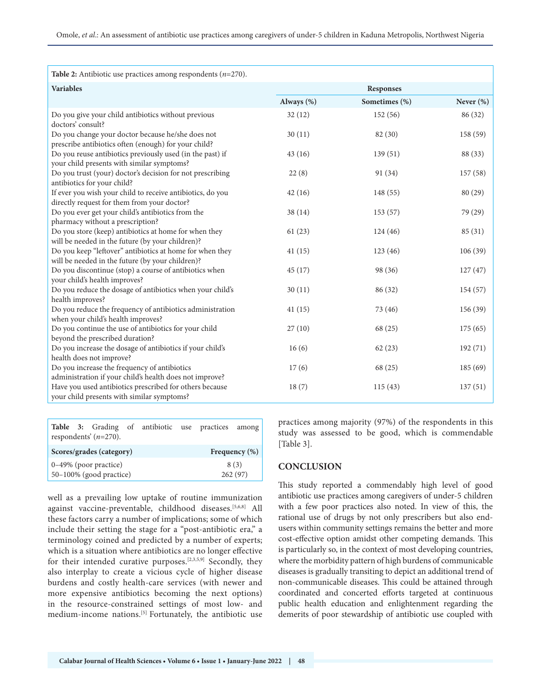| Table 2: Antibiotic use practices among respondents $(n=270)$ .                                              |            |               |           |
|--------------------------------------------------------------------------------------------------------------|------------|---------------|-----------|
| <b>Variables</b>                                                                                             | Responses  |               |           |
|                                                                                                              | Always (%) | Sometimes (%) | Never (%) |
|                                                                                                              |            |               |           |
| Do you give your child antibiotics without previous<br>doctors' consult?                                     | 32(12)     | 152 (56)      | 86 (32)   |
| Do you change your doctor because he/she does not<br>prescribe antibiotics often (enough) for your child?    | 30(11)     | 82 (30)       | 158 (59)  |
| Do you reuse antibiotics previously used (in the past) if<br>your child presents with similar symptoms?      | 43(16)     | 139(51)       | 88 (33)   |
| Do you trust (your) doctor's decision for not prescribing<br>antibiotics for your child?                     | 22(8)      | 91 (34)       | 157 (58)  |
| If ever you wish your child to receive antibiotics, do you<br>directly request for them from your doctor?    | 42(16)     | 148 (55)      | 80 (29)   |
| Do you ever get your child's antibiotics from the                                                            | 38(14)     | 153(57)       | 79 (29)   |
| pharmacy without a prescription?<br>Do you store (keep) antibiotics at home for when they                    | 61(23)     | 124(46)       | 85 (31)   |
| will be needed in the future (by your children)?<br>Do you keep "leftover" antibiotics at home for when they | 41(15)     | 123(46)       | 106(39)   |
| will be needed in the future (by your children)?<br>Do you discontinue (stop) a course of antibiotics when   | 45(17)     | 98 (36)       | 127(47)   |
| your child's health improves?<br>Do you reduce the dosage of antibiotics when your child's                   | 30(11)     | 86 (32)       | 154 (57)  |
| health improves?<br>Do you reduce the frequency of antibiotics administration                                | 41(15)     | 73 (46)       | 156 (39)  |
| when your child's health improves?                                                                           |            |               |           |
| Do you continue the use of antibiotics for your child                                                        | 27(10)     | 68 (25)       | 175(65)   |
| beyond the prescribed duration?                                                                              |            |               |           |
| Do you increase the dosage of antibiotics if your child's<br>health does not improve?                        | 16(6)      | 62(23)        | 192(71)   |
| Do you increase the frequency of antibiotics<br>administration if your child's health does not improve?      | 17(6)      | 68 (25)       | 185(69)   |
| Have you used antibiotics prescribed for others because<br>your child presents with similar symptoms?        | 18(7)      | 115(43)       | 137(51)   |

**Table 3:** Grading of antibiotic use practices among respondents' (*n*=270).

| Scores/grades (category)   | Frequency $(\%)$ |
|----------------------------|------------------|
| $0-49\%$ (poor practice)   | 8(3)             |
| $50-100\%$ (good practice) | 262(97)          |

well as a prevailing low uptake of routine immunization against vaccine-preventable, childhood diseases.[5,6,8] All these factors carry a number of implications; some of which include their setting the stage for a "post-antibiotic era," a terminology coined and predicted by a number of experts; which is a situation where antibiotics are no longer effective for their intended curative purposes.<sup>[2,3,5,9]</sup> Secondly, they also interplay to create a vicious cycle of higher disease burdens and costly health-care services (with newer and more expensive antibiotics becoming the next options) in the resource-constrained settings of most low- and medium-income nations.[5] Fortunately, the antibiotic use practices among majority (97%) of the respondents in this study was assessed to be good, which is commendable [Table 3].

#### **CONCLUSION**

This study reported a commendably high level of good antibiotic use practices among caregivers of under-5 children with a few poor practices also noted. In view of this, the rational use of drugs by not only prescribers but also endusers within community settings remains the better and more cost-effective option amidst other competing demands. This is particularly so, in the context of most developing countries, where the morbidity pattern of high burdens of communicable diseases is gradually transiting to depict an additional trend of non-communicable diseases. This could be attained through coordinated and concerted efforts targeted at continuous public health education and enlightenment regarding the demerits of poor stewardship of antibiotic use coupled with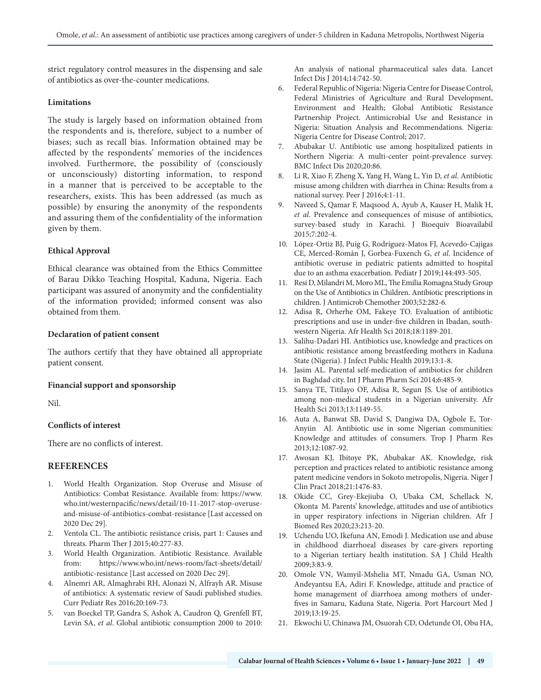strict regulatory control measures in the dispensing and sale of antibiotics as over-the-counter medications.

#### **Limitations**

The study is largely based on information obtained from the respondents and is, therefore, subject to a number of biases; such as recall bias. Information obtained may be affected by the respondents' memories of the incidences involved. Furthermore, the possibility of (consciously or unconsciously) distorting information, to respond in a manner that is perceived to be acceptable to the researchers, exists. This has been addressed (as much as possible) by ensuring the anonymity of the respondents and assuring them of the confidentiality of the information given by them.

#### **Ethical Approval**

Ethical clearance was obtained from the Ethics Committee of Barau Dikko Teaching Hospital, Kaduna, Nigeria. Each participant was assured of anonymity and the confidentiality of the information provided; informed consent was also obtained from them.

#### **Declaration of patient consent**

The authors certify that they have obtained all appropriate patient consent.

#### **Financial support and sponsorship**

Nil.

#### **Conflicts of interest**

There are no conflicts of interest.

#### **REFERENCES**

- 1. World Health Organization. Stop Overuse and Misuse of Antibiotics: Combat Resistance. Available from: https://www. who.int/westernpacific/news/detail/10-11-2017-stop-overuseand-misuse-of-antibiotics-combat-resistance [Last accessed on 2020 Dec 29].
- 2. Ventola CL. The antibiotic resistance crisis, part 1: Causes and threats. Pharm Ther J 2015;40:277-83.
- 3. World Health Organization. Antibiotic Resistance. Available from: https://www.who.int/news-room/fact-sheets/detail/ antibiotic-resistance [Last accessed on 2020 Dec 29].
- 4. Alnemri AR, Almaghrabi RH, Alonazi N, Alfrayh AR. Misuse of antibiotics: A systematic review of Saudi published studies. Curr Pediatr Res 2016;20:169-73.
- 5. van Boeckel TP, Gandra S, Ashok A, Caudron Q, Grenfell BT, Levin SA, *et al*. Global antibiotic consumption 2000 to 2010:

An analysis of national pharmaceutical sales data. Lancet Infect Dis J 2014;14:742-50.

- 6. Federal Republic of Nigeria: Nigeria Centre for Disease Control, Federal Ministries of Agriculture and Rural Development, Environment and Health; Global Antibiotic Resistance Partnership Project. Antimicrobial Use and Resistance in Nigeria: Situation Analysis and Recommendations. Nigeria: Nigeria Centre for Disease Control; 2017.
- 7. Abubakar U. Antibiotic use among hospitalized patients in Northern Nigeria: A multi-center point-prevalence survey. BMC Infect Dis 2020;20:86.
- 8. Li R, Xiao F, Zheng X, Yang H, Wang L, Yin D, *et al*. Antibiotic misuse among children with diarrhea in China: Results from a national survey. Peer J 2016;4:1-11.
- 9. Naveed S, Qamar F, Maqsood A, Ayub A, Kauser H, Malik H, *et al*. Prevalence and consequences of misuse of antibiotics, survey-based study in Karachi. J Bioequiv Bioavailabil 2015;7:202-4.
- 10. López-Ortiz BJ, Puig G, Rodríguez-Matos FJ, Acevedo-Cajigas CE, Merced-Román J, Gorbea-Fuxench G, *et al*. Incidence of antibiotic overuse in pediatric patients admitted to hospital due to an asthma exacerbation. Pediatr J 2019;144:493-505.
- 11. Resi D, Milandri M, Moro ML, The Emilia Romagna Study Group on the Use of Antibiotics in Children. Antibiotic prescriptions in children. J Antimicrob Chemother 2003;52:282-6.
- 12. Adisa R, Orherhe OM, Fakeye TO. Evaluation of antibiotic prescriptions and use in under-five children in Ibadan, southwestern Nigeria. Afr Health Sci 2018;18:1189-201.
- 13. Salihu-Dadari HI. Antibiotics use, knowledge and practices on antibiotic resistance among breastfeeding mothers in Kaduna State (Nigeria). J Infect Public Health 2019;13:1-8.
- 14. Jasim AL. Parental self-medication of antibiotics for children in Baghdad city. Int J Pharm Pharm Sci 2014;6:485-9.
- 15. Sanya TE, Titilayo OF, Adisa R, Segun JS. Use of antibiotics among non-medical students in a Nigerian university. Afr Health Sci 2013;13:1149-55.
- 16. Auta A, Banwat SB, David S, Dangiwa DA, Ogbole E, Tor-Anyiin AJ. Antibiotic use in some Nigerian communities: Knowledge and attitudes of consumers. Trop J Pharm Res 2013;12:1087-92.
- 17. Awosan KJ, Ibitoye PK, Abubakar AK. Knowledge, risk perception and practices related to antibiotic resistance among patent medicine vendors in Sokoto metropolis, Nigeria. Niger J Clin Pract 2018;21:1476-83.
- 18. Okide CC, Grey-Ekejiuba O, Ubaka CM, Schellack N, Okonta M. Parents' knowledge, attitudes and use of antibiotics in upper respiratory infections in Nigerian children. Afr J Biomed Res 2020;23:213-20.
- 19. Uchendu UO, Ikefuna AN, Emodi J. Medication use and abuse in childhood diarrhoeal diseases by care-givers reporting to a Nigerian tertiary health institution. SA J Child Health 2009;3:83-9.
- 20. Omole VN, Wamyil-Mshelia MT, Nmadu GA, Usman NO, Andeyantsu EA, Adiri F. Knowledge, attitude and practice of home management of diarrhoea among mothers of underfives in Samaru, Kaduna State, Nigeria. Port Harcourt Med J 2019;13:19-25.
- 21. Ekwochi U, Chinawa JM, Osuorah CD, Odetunde OI, Obu HA,